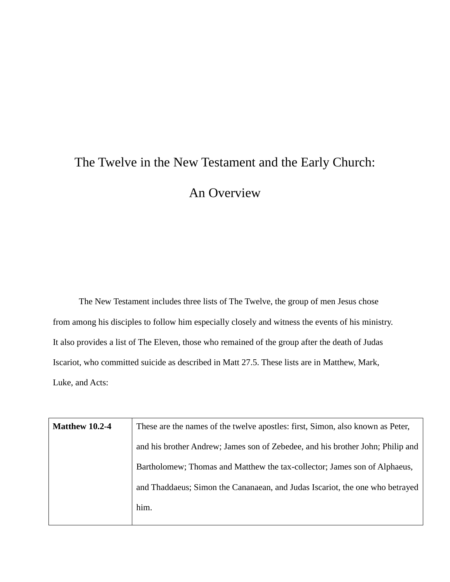## The Twelve in the New Testament and the Early Church: An Overview

The New Testament includes three lists of The Twelve, the group of men Jesus chose from among his disciples to follow him especially closely and witness the events of his ministry. It also provides a list of The Eleven, those who remained of the group after the death of Judas Iscariot, who committed suicide as described in Matt 27.5. These lists are in Matthew, Mark, Luke, and Acts:

| <b>Matthew 10.2-4</b> | These are the names of the twelve apostles: first, Simon, also known as Peter, |
|-----------------------|--------------------------------------------------------------------------------|
|                       | and his brother Andrew; James son of Zebedee, and his brother John; Philip and |
|                       | Bartholomew; Thomas and Matthew the tax-collector; James son of Alphaeus,      |
|                       | and Thaddaeus; Simon the Cananaean, and Judas Iscariot, the one who betrayed   |
|                       | him.                                                                           |
|                       |                                                                                |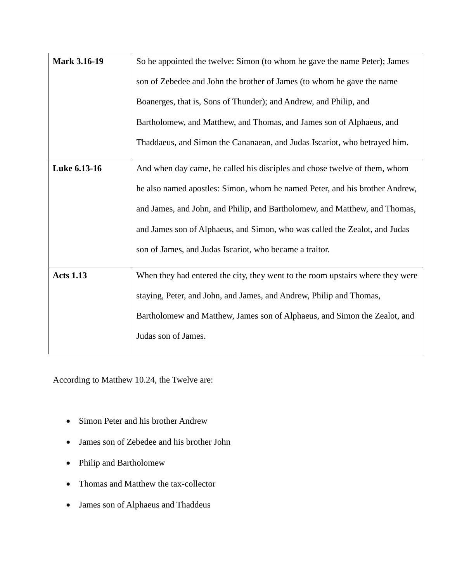| <b>Mark 3.16-19</b> | So he appointed the twelve: Simon (to whom he gave the name Peter); James      |
|---------------------|--------------------------------------------------------------------------------|
|                     | son of Zebedee and John the brother of James (to whom he gave the name         |
|                     | Boanerges, that is, Sons of Thunder); and Andrew, and Philip, and              |
|                     | Bartholomew, and Matthew, and Thomas, and James son of Alphaeus, and           |
|                     | Thaddaeus, and Simon the Cananaean, and Judas Iscariot, who betrayed him.      |
| Luke 6.13-16        | And when day came, he called his disciples and chose twelve of them, whom      |
|                     | he also named apostles: Simon, whom he named Peter, and his brother Andrew,    |
|                     | and James, and John, and Philip, and Bartholomew, and Matthew, and Thomas,     |
|                     | and James son of Alphaeus, and Simon, who was called the Zealot, and Judas     |
|                     | son of James, and Judas Iscariot, who became a traitor.                        |
| <b>Acts 1.13</b>    | When they had entered the city, they went to the room upstairs where they were |
|                     | staying, Peter, and John, and James, and Andrew, Philip and Thomas,            |
|                     | Bartholomew and Matthew, James son of Alphaeus, and Simon the Zealot, and      |
|                     | Judas son of James.                                                            |

According to Matthew 10.24, the Twelve are:

- Simon Peter and his brother Andrew
- James son of Zebedee and his brother John
- Philip and Bartholomew
- Thomas and Matthew the tax-collector
- James son of Alphaeus and Thaddeus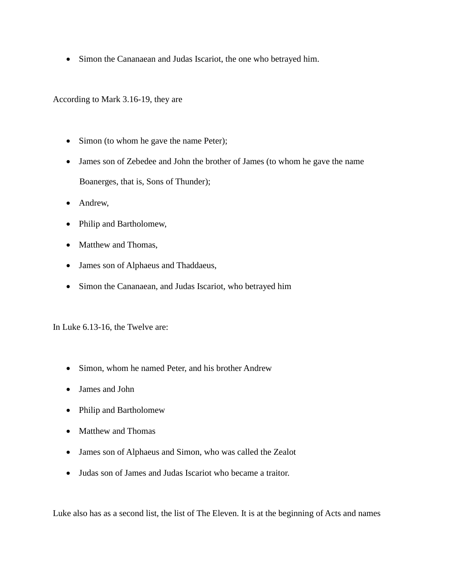• Simon the Cananaean and Judas Iscariot, the one who betrayed him.

According to Mark 3.16-19, they are

- Simon (to whom he gave the name Peter);
- James son of Zebedee and John the brother of James (to whom he gave the name Boanerges, that is, Sons of Thunder);
- Andrew,
- Philip and Bartholomew,
- Matthew and Thomas,
- James son of Alphaeus and Thaddaeus,
- Simon the Cananaean, and Judas Iscariot, who betrayed him

In Luke 6.13-16, the Twelve are:

- Simon, whom he named Peter, and his brother Andrew
- James and John
- Philip and Bartholomew
- Matthew and Thomas
- James son of Alphaeus and Simon, who was called the Zealot
- Judas son of James and Judas Iscariot who became a traitor.

Luke also has as a second list, the list of The Eleven. It is at the beginning of Acts and names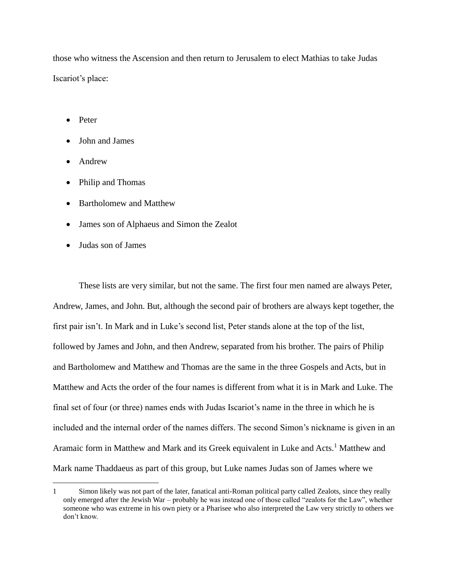those who witness the Ascension and then return to Jerusalem to elect Mathias to take Judas Iscariot's place:

- Peter
- John and James
- Andrew

 $\overline{a}$ 

- Philip and Thomas
- Bartholomew and Matthew
- James son of Alphaeus and Simon the Zealot
- Judas son of James

These lists are very similar, but not the same. The first four men named are always Peter, Andrew, James, and John. But, although the second pair of brothers are always kept together, the first pair isn't. In Mark and in Luke's second list, Peter stands alone at the top of the list, followed by James and John, and then Andrew, separated from his brother. The pairs of Philip and Bartholomew and Matthew and Thomas are the same in the three Gospels and Acts, but in Matthew and Acts the order of the four names is different from what it is in Mark and Luke. The final set of four (or three) names ends with Judas Iscariot's name in the three in which he is included and the internal order of the names differs. The second Simon's nickname is given in an Aramaic form in Matthew and Mark and its Greek equivalent in Luke and Acts.<sup>1</sup> Matthew and Mark name Thaddaeus as part of this group, but Luke names Judas son of James where we

<sup>1</sup> Simon likely was not part of the later, fanatical anti-Roman political party called Zealots, since they really only emerged after the Jewish War – probably he was instead one of those called "zealots for the Law", whether someone who was extreme in his own piety or a Pharisee who also interpreted the Law very strictly to others we don't know.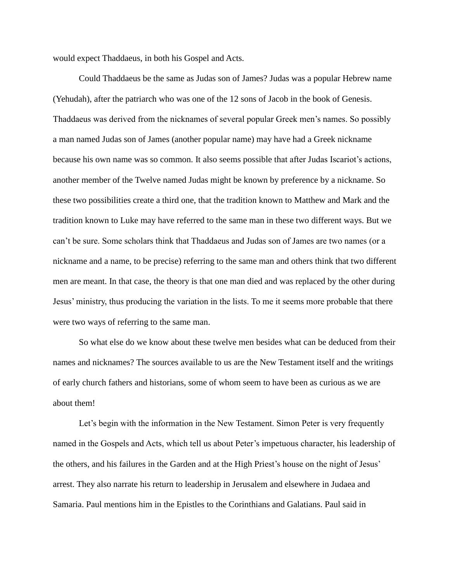would expect Thaddaeus, in both his Gospel and Acts.

Could Thaddaeus be the same as Judas son of James? Judas was a popular Hebrew name (Yehudah), after the patriarch who was one of the 12 sons of Jacob in the book of Genesis. Thaddaeus was derived from the nicknames of several popular Greek men's names. So possibly a man named Judas son of James (another popular name) may have had a Greek nickname because his own name was so common. It also seems possible that after Judas Iscariot's actions, another member of the Twelve named Judas might be known by preference by a nickname. So these two possibilities create a third one, that the tradition known to Matthew and Mark and the tradition known to Luke may have referred to the same man in these two different ways. But we can't be sure. Some scholars think that Thaddaeus and Judas son of James are two names (or a nickname and a name, to be precise) referring to the same man and others think that two different men are meant. In that case, the theory is that one man died and was replaced by the other during Jesus' ministry, thus producing the variation in the lists. To me it seems more probable that there were two ways of referring to the same man.

So what else do we know about these twelve men besides what can be deduced from their names and nicknames? The sources available to us are the New Testament itself and the writings of early church fathers and historians, some of whom seem to have been as curious as we are about them!

Let's begin with the information in the New Testament. Simon Peter is very frequently named in the Gospels and Acts, which tell us about Peter's impetuous character, his leadership of the others, and his failures in the Garden and at the High Priest's house on the night of Jesus' arrest. They also narrate his return to leadership in Jerusalem and elsewhere in Judaea and Samaria. Paul mentions him in the Epistles to the Corinthians and Galatians. Paul said in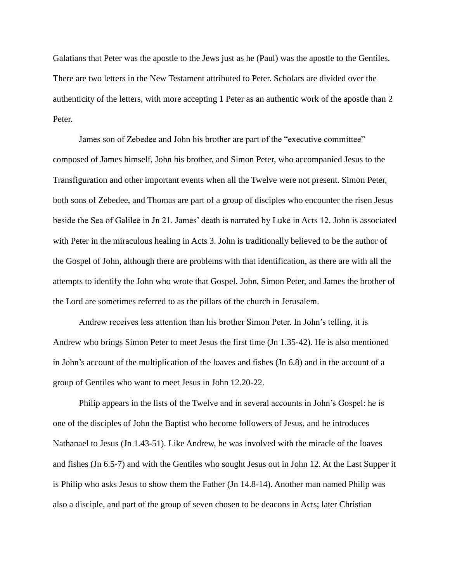Galatians that Peter was the apostle to the Jews just as he (Paul) was the apostle to the Gentiles. There are two letters in the New Testament attributed to Peter. Scholars are divided over the authenticity of the letters, with more accepting 1 Peter as an authentic work of the apostle than 2 Peter.

James son of Zebedee and John his brother are part of the "executive committee" composed of James himself, John his brother, and Simon Peter, who accompanied Jesus to the Transfiguration and other important events when all the Twelve were not present. Simon Peter, both sons of Zebedee, and Thomas are part of a group of disciples who encounter the risen Jesus beside the Sea of Galilee in Jn 21. James' death is narrated by Luke in Acts 12. John is associated with Peter in the miraculous healing in Acts 3. John is traditionally believed to be the author of the Gospel of John, although there are problems with that identification, as there are with all the attempts to identify the John who wrote that Gospel. John, Simon Peter, and James the brother of the Lord are sometimes referred to as the pillars of the church in Jerusalem.

Andrew receives less attention than his brother Simon Peter. In John's telling, it is Andrew who brings Simon Peter to meet Jesus the first time (Jn 1.35-42). He is also mentioned in John's account of the multiplication of the loaves and fishes (Jn 6.8) and in the account of a group of Gentiles who want to meet Jesus in John 12.20-22.

Philip appears in the lists of the Twelve and in several accounts in John's Gospel: he is one of the disciples of John the Baptist who become followers of Jesus, and he introduces Nathanael to Jesus (Jn 1.43-51). Like Andrew, he was involved with the miracle of the loaves and fishes (Jn 6.5-7) and with the Gentiles who sought Jesus out in John 12. At the Last Supper it is Philip who asks Jesus to show them the Father (Jn 14.8-14). Another man named Philip was also a disciple, and part of the group of seven chosen to be deacons in Acts; later Christian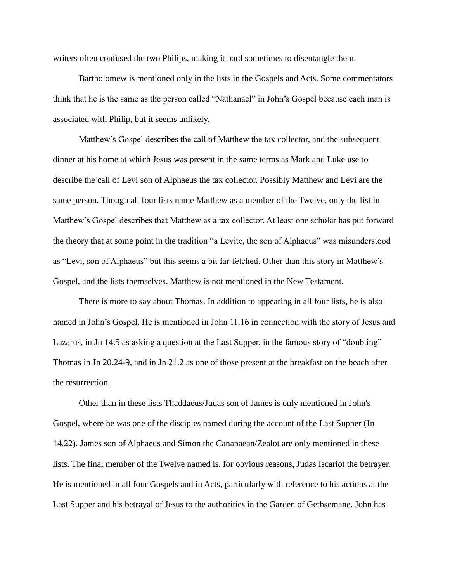writers often confused the two Philips, making it hard sometimes to disentangle them.

Bartholomew is mentioned only in the lists in the Gospels and Acts. Some commentators think that he is the same as the person called "Nathanael" in John's Gospel because each man is associated with Philip, but it seems unlikely.

Matthew's Gospel describes the call of Matthew the tax collector, and the subsequent dinner at his home at which Jesus was present in the same terms as Mark and Luke use to describe the call of Levi son of Alphaeus the tax collector. Possibly Matthew and Levi are the same person. Though all four lists name Matthew as a member of the Twelve, only the list in Matthew's Gospel describes that Matthew as a tax collector. At least one scholar has put forward the theory that at some point in the tradition "a Levite, the son of Alphaeus" was misunderstood as "Levi, son of Alphaeus" but this seems a bit far-fetched. Other than this story in Matthew's Gospel, and the lists themselves, Matthew is not mentioned in the New Testament.

There is more to say about Thomas. In addition to appearing in all four lists, he is also named in John's Gospel. He is mentioned in John 11.16 in connection with the story of Jesus and Lazarus, in Jn 14.5 as asking a question at the Last Supper, in the famous story of "doubting" Thomas in Jn 20.24-9, and in Jn 21.2 as one of those present at the breakfast on the beach after the resurrection.

Other than in these lists Thaddaeus/Judas son of James is only mentioned in John's Gospel, where he was one of the disciples named during the account of the Last Supper (Jn 14.22). James son of Alphaeus and Simon the Cananaean/Zealot are only mentioned in these lists. The final member of the Twelve named is, for obvious reasons, Judas Iscariot the betrayer. He is mentioned in all four Gospels and in Acts, particularly with reference to his actions at the Last Supper and his betrayal of Jesus to the authorities in the Garden of Gethsemane. John has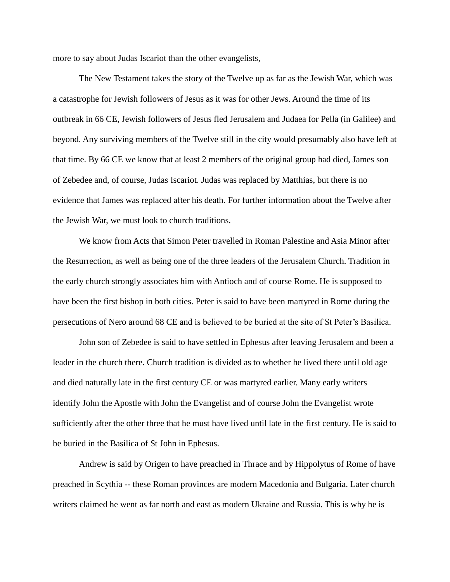more to say about Judas Iscariot than the other evangelists,

The New Testament takes the story of the Twelve up as far as the Jewish War, which was a catastrophe for Jewish followers of Jesus as it was for other Jews. Around the time of its outbreak in 66 CE, Jewish followers of Jesus fled Jerusalem and Judaea for Pella (in Galilee) and beyond. Any surviving members of the Twelve still in the city would presumably also have left at that time. By 66 CE we know that at least 2 members of the original group had died, James son of Zebedee and, of course, Judas Iscariot. Judas was replaced by Matthias, but there is no evidence that James was replaced after his death. For further information about the Twelve after the Jewish War, we must look to church traditions.

We know from Acts that Simon Peter travelled in Roman Palestine and Asia Minor after the Resurrection, as well as being one of the three leaders of the Jerusalem Church. Tradition in the early church strongly associates him with Antioch and of course Rome. He is supposed to have been the first bishop in both cities. Peter is said to have been martyred in Rome during the persecutions of Nero around 68 CE and is believed to be buried at the site of St Peter's Basilica.

John son of Zebedee is said to have settled in Ephesus after leaving Jerusalem and been a leader in the church there. Church tradition is divided as to whether he lived there until old age and died naturally late in the first century CE or was martyred earlier. Many early writers identify John the Apostle with John the Evangelist and of course John the Evangelist wrote sufficiently after the other three that he must have lived until late in the first century. He is said to be buried in the Basilica of St John in Ephesus.

Andrew is said by Origen to have preached in Thrace and by Hippolytus of Rome of have preached in Scythia -- these Roman provinces are modern Macedonia and Bulgaria. Later church writers claimed he went as far north and east as modern Ukraine and Russia. This is why he is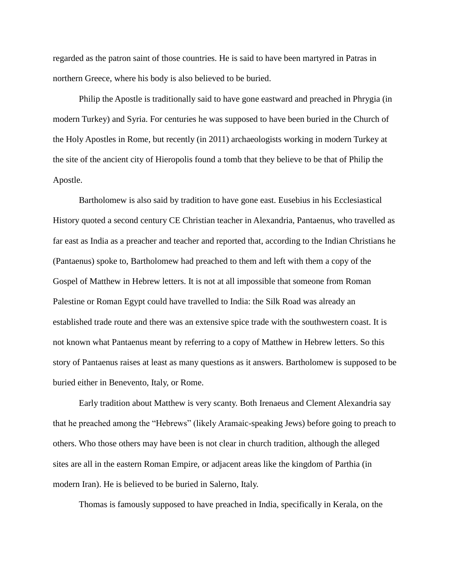regarded as the patron saint of those countries. He is said to have been martyred in Patras in northern Greece, where his body is also believed to be buried.

Philip the Apostle is traditionally said to have gone eastward and preached in Phrygia (in modern Turkey) and Syria. For centuries he was supposed to have been buried in the Church of the Holy Apostles in Rome, but recently (in 2011) archaeologists working in modern Turkey at the site of the ancient city of Hieropolis found a tomb that they believe to be that of Philip the Apostle.

Bartholomew is also said by tradition to have gone east. Eusebius in his Ecclesiastical History quoted a second century CE Christian teacher in Alexandria, Pantaenus, who travelled as far east as India as a preacher and teacher and reported that, according to the Indian Christians he (Pantaenus) spoke to, Bartholomew had preached to them and left with them a copy of the Gospel of Matthew in Hebrew letters. It is not at all impossible that someone from Roman Palestine or Roman Egypt could have travelled to India: the Silk Road was already an established trade route and there was an extensive spice trade with the southwestern coast. It is not known what Pantaenus meant by referring to a copy of Matthew in Hebrew letters. So this story of Pantaenus raises at least as many questions as it answers. Bartholomew is supposed to be buried either in Benevento, Italy, or Rome.

Early tradition about Matthew is very scanty. Both Irenaeus and Clement Alexandria say that he preached among the "Hebrews" (likely Aramaic-speaking Jews) before going to preach to others. Who those others may have been is not clear in church tradition, although the alleged sites are all in the eastern Roman Empire, or adjacent areas like the kingdom of Parthia (in modern Iran). He is believed to be buried in Salerno, Italy.

Thomas is famously supposed to have preached in India, specifically in Kerala, on the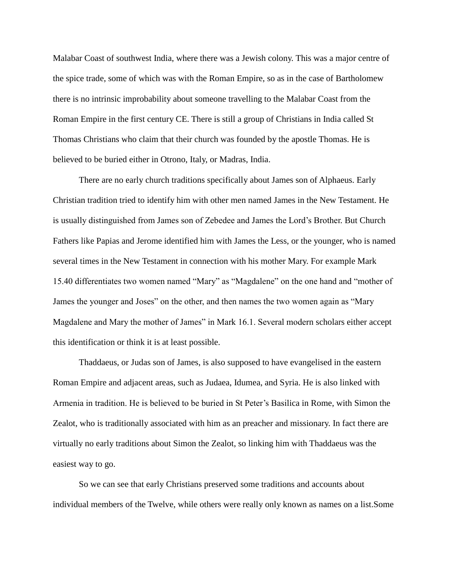Malabar Coast of southwest India, where there was a Jewish colony. This was a major centre of the spice trade, some of which was with the Roman Empire, so as in the case of Bartholomew there is no intrinsic improbability about someone travelling to the Malabar Coast from the Roman Empire in the first century CE. There is still a group of Christians in India called St Thomas Christians who claim that their church was founded by the apostle Thomas. He is believed to be buried either in Otrono, Italy, or Madras, India.

There are no early church traditions specifically about James son of Alphaeus. Early Christian tradition tried to identify him with other men named James in the New Testament. He is usually distinguished from James son of Zebedee and James the Lord's Brother. But Church Fathers like Papias and Jerome identified him with James the Less, or the younger, who is named several times in the New Testament in connection with his mother Mary. For example Mark 15.40 differentiates two women named "Mary" as "Magdalene" on the one hand and "mother of James the younger and Joses" on the other, and then names the two women again as "Mary Magdalene and Mary the mother of James" in Mark 16.1. Several modern scholars either accept this identification or think it is at least possible.

Thaddaeus, or Judas son of James, is also supposed to have evangelised in the eastern Roman Empire and adjacent areas, such as Judaea, Idumea, and Syria. He is also linked with Armenia in tradition. He is believed to be buried in St Peter's Basilica in Rome, with Simon the Zealot, who is traditionally associated with him as an preacher and missionary. In fact there are virtually no early traditions about Simon the Zealot, so linking him with Thaddaeus was the easiest way to go.

So we can see that early Christians preserved some traditions and accounts about individual members of the Twelve, while others were really only known as names on a list.Some